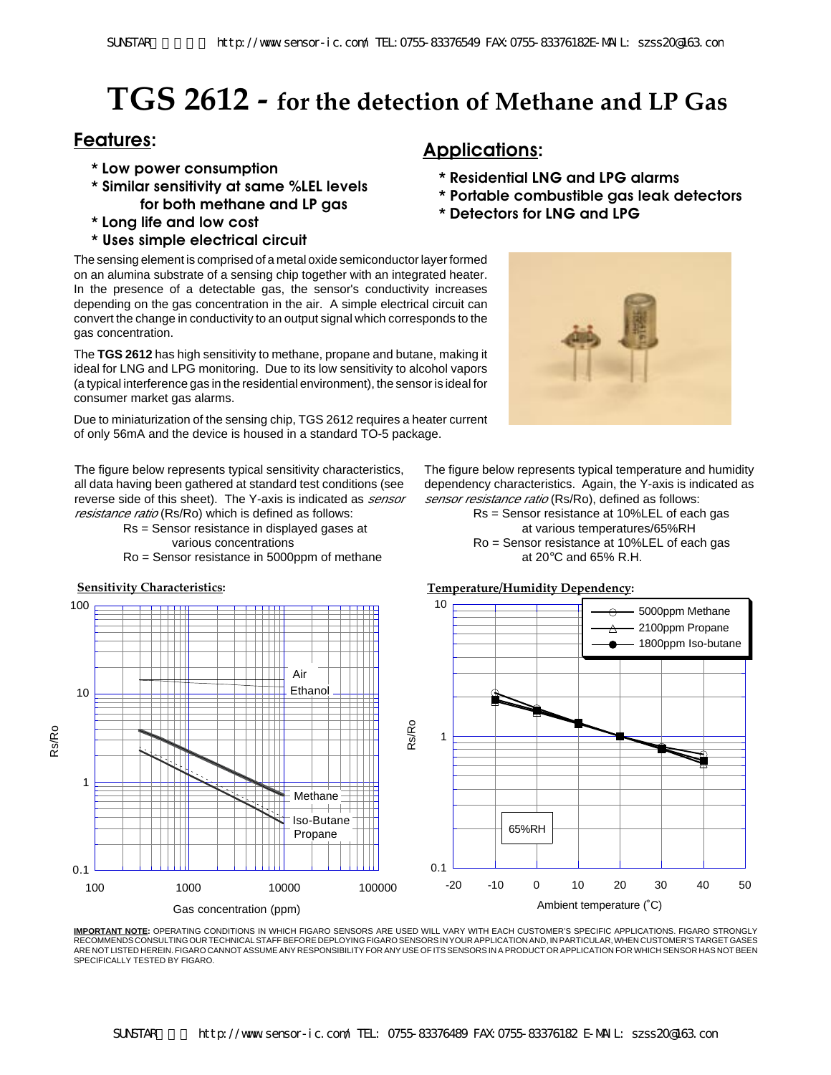# **TGS 2612 - for the detection of Methane and LP Gas**

## **Applications: Features:**

- **\* Low power consumption**
- **\* Similar sensitivity at same %LEL levels for both methane and LP gas**
- **\* Long life and low cost**
- **\* Uses simple electrical circuit**

The sensing element is comprised of a metal oxide semiconductor layer formed on an alumina substrate of a sensing chip together with an integrated heater. In the presence of a detectable gas, the sensor's conductivity increases depending on the gas concentration in the air. A simple electrical circuit can convert the change in conductivity to an output signal which corresponds to the gas concentration.

The **TGS 2612** has high sensitivity to methane, propane and butane, making it ideal for LNG and LPG monitoring. Due to its low sensitivity to alcohol vapors (a typical interference gas in the residential environment), the sensor is ideal for consumer market gas alarms.

The figure below represents typical temperature and humidity dependency characteristics. Again, the Y-axis is indicated as

> Rs = Sensor resistance at 10%LEL of each gas at various temperatures/65%RH Ro = Sensor resistance at 10%LEL of each gas at 20°C and 65% R.H.

sensor resistance ratio (Rs/Ro), defined as follows:

**\* Residential LNG and LPG alarms**

**\* Detectors for LNG and LPG**

**\* Portable combustible gas leak detectors**

Due to miniaturization of the sensing chip, TGS 2612 requires a heater current of only 56mA and the device is housed in a standard TO-5 package.

The figure below represents typical sensitivity characteristics, all data having been gathered at standard test conditions (see reverse side of this sheet). The Y-axis is indicated as *sensor* resistance ratio (Rs/Ro) which is defined as follows:

Rs = Sensor resistance in displayed gases at various concentrations

Ro = Sensor resistance in 5000ppm of methane



**IMPORTANT NOTE:** OPERATING CONDITIONS IN WHICH FIGARO SENSORS ARE USED WILL VARY WITH EACH CUSTOMER'S SPECIFIC APPLICATIONS. FIGARO STRONGLY RECOMMENDS CONSULTING OUR TECHNICAL STAFF BEFORE DEPLOYING FIGARO SENSORS IN YOUR APPLICATION AND, IN PARTICULAR, WHEN CUSTOMER'S TARGET GASES ARE NOT LISTED HEREIN. FIGARO CANNOT ASSUME ANY RESPONSIBILITY FOR ANY USE OF ITS SENSORS IN A PRODUCT OR APPLICATION FOR WHICH SENSOR HAS NOT BEEN SPECIFICALLY TESTED BY FIGARO.